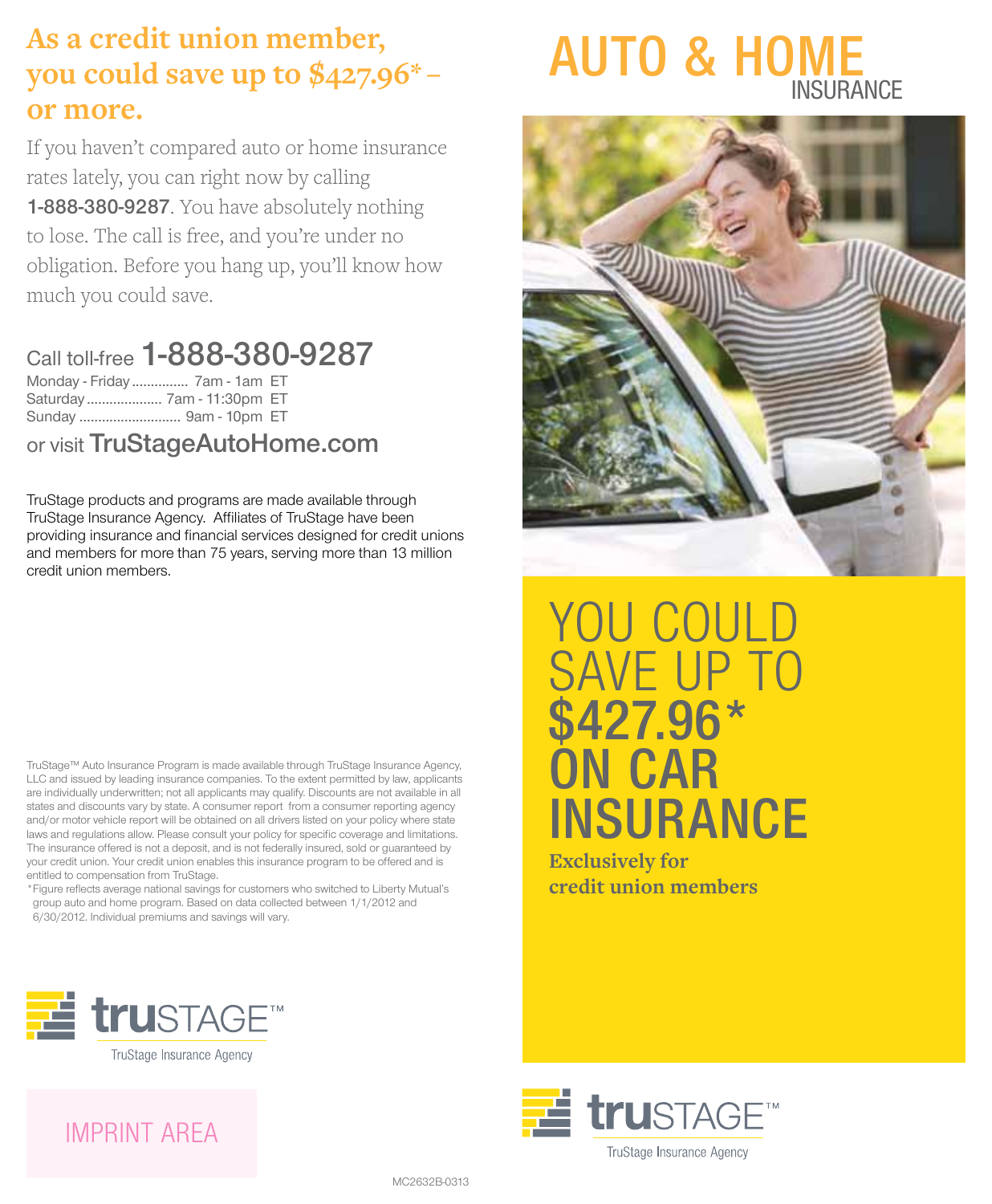## **As a credit union member, you could save up to \$427.96\* –  or more.**

If you haven't compared auto or home insurance rates lately, you can right now by calling 1-888-380-9287. You have absolutely nothing to lose. The call is free, and you're under no obligation. Before you hang up, you'll know how much you could save.

#### Call toll-free 1-888-380-9287 Monday - Friday ............... 7am - 1am ET Saturday .................... 7am - 11:30pm ET

Sunday ........................... 9am - 10pm ET

or visit TruStageAutoHome.com

TruStage products and programs are made available through TruStage Insurance Agency. Affiliates of TruStage have been providing insurance and financial services designed for credit unions and members for more than 75 years, serving more than 13 million credit union members.

TruStage™ Auto Insurance Program is made available through TruStage Insurance Agency, LLC and issued by leading insurance companies. To the extent permitted by law, applicants are individually underwritten; not all applicants may qualify. Discounts are not available in all states and discounts vary by state. A consumer report from a consumer reporting agency and/or motor vehicle report will be obtained on all drivers listed on your policy where state laws and regulations allow. Please consult your policy for specific coverage and limitations. The insurance offered is not a deposit, and is not federally insured, sold or guaranteed by your credit union. Your credit union enables this insurance program to be offered and is entitled to compensation from TruStage.

\*Figure reflects average national savings for customers who switched to Liberty Mutual's group auto and home program. Based on data collected between 1/1/2012 and 6/30/2012. Individual premiums and savings will vary.





YOU COULD SAVE UP TO \$427.96\* **ON CAR INSURANCE** 

**Exclusively for credit union members**